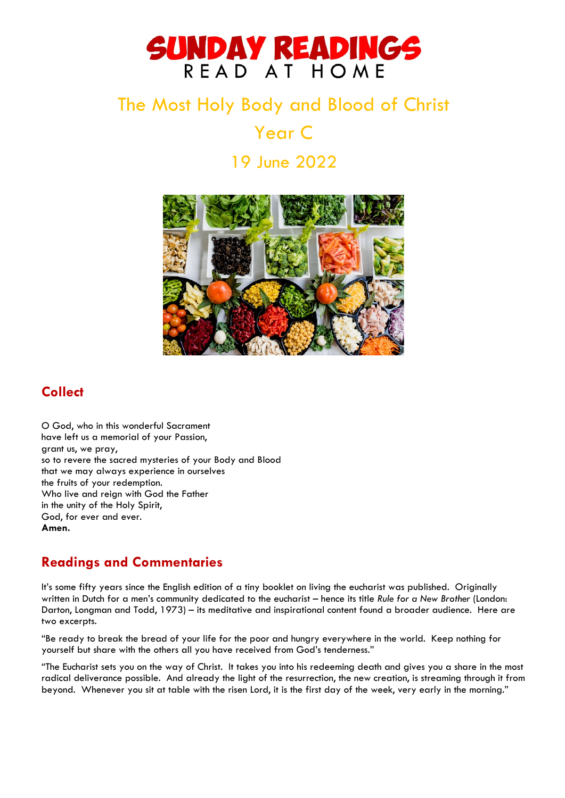# SUNDAY READINGS READ AT HOME

## The Most Holy Body and Blood of Christ

Year C

19 June 2022



### **Collect**

O God, who in this wonderful Sacrament have left us a memorial of your Passion, grant us, we pray, so to revere the sacred mysteries of your Body and Blood that we may always experience in ourselves the fruits of your redemption. Who live and reign with God the Father in the unity of the Holy Spirit, God, for ever and ever. **Amen.**

## **Readings and Commentaries**

It's some fifty years since the English edition of a tiny booklet on living the eucharist was published. Originally written in Dutch for a men's community dedicated to the eucharist – hence its title *Rule for a New Brother* (London: Darton, Longman and Todd, 1973) – its meditative and inspirational content found a broader audience. Here are two excerpts.

"Be ready to break the bread of your life for the poor and hungry everywhere in the world. Keep nothing for yourself but share with the others all you have received from God's tenderness."

"The Eucharist sets you on the way of Christ. It takes you into his redeeming death and gives you a share in the most radical deliverance possible. And already the light of the resurrection, the new creation, is streaming through it from beyond. Whenever you sit at table with the risen Lord, it is the first day of the week, very early in the morning."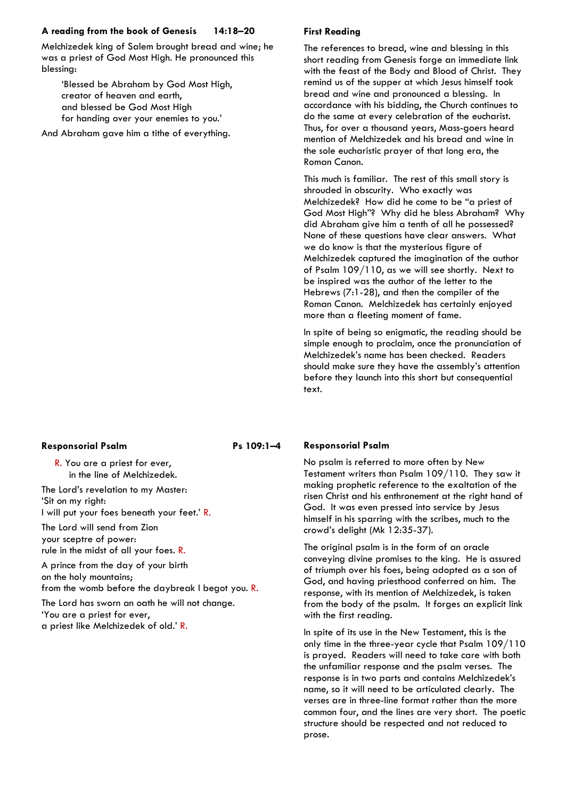#### **A reading from the book of Genesis 14:18–20**

Melchizedek king of Salem brought bread and wine; he was a priest of God Most High. He pronounced this blessing:

'Blessed be Abraham by God Most High, creator of heaven and earth, and blessed be God Most High for handing over your enemies to you.'

And Abraham gave him a tithe of everything.

#### **First Reading**

The references to bread, wine and blessing in this short reading from Genesis forge an immediate link with the feast of the Body and Blood of Christ. They remind us of the supper at which Jesus himself took bread and wine and pronounced a blessing. In accordance with his bidding, the Church continues to do the same at every celebration of the eucharist. Thus, for over a thousand years, Mass-goers heard mention of Melchizedek and his bread and wine in the sole eucharistic prayer of that long era, the Roman Canon.

This much is familiar. The rest of this small story is shrouded in obscurity. Who exactly was Melchizedek? How did he come to be "a priest of God Most High"? Why did he bless Abraham? Why did Abraham give him a tenth of all he possessed? None of these questions have clear answers. What we do know is that the mysterious figure of Melchizedek captured the imagination of the author of Psalm 109/110, as we will see shortly. Next to be inspired was the author of the letter to the Hebrews (7:1-28), and then the compiler of the Roman Canon. Melchizedek has certainly enjoyed more than a fleeting moment of fame.

In spite of being so enigmatic, the reading should be simple enough to proclaim, once the pronunciation of Melchizedek's name has been checked. Readers should make sure they have the assembly's attention before they launch into this short but consequential text.

#### **Responsorial Psalm Ps 109:1-4**

R. You are a priest for ever, in the line of Melchizedek.

The Lord's revelation to my Master: 'Sit on my right: I will put your foes beneath your feet.' R.

The Lord will send from Zion your sceptre of power: rule in the midst of all your foes. R.

A prince from the day of your birth on the holy mountains; from the womb before the daybreak I begot you. R.

The Lord has sworn an oath he will not change. 'You are a priest for ever, a priest like Melchizedek of old.' R.

#### **Responsorial Psalm**

No psalm is referred to more often by New Testament writers than Psalm 109/110. They saw it making prophetic reference to the exaltation of the risen Christ and his enthronement at the right hand of God. It was even pressed into service by Jesus himself in his sparring with the scribes, much to the crowd's delight (Mk 12:35-37).

The original psalm is in the form of an oracle conveying divine promises to the king. He is assured of triumph over his foes, being adopted as a son of God, and having priesthood conferred on him. The response, with its mention of Melchizedek, is taken from the body of the psalm. It forges an explicit link with the first reading.

In spite of its use in the New Testament, this is the only time in the three-year cycle that Psalm 109/110 is prayed. Readers will need to take care with both the unfamiliar response and the psalm verses. The response is in two parts and contains Melchizedek's name, so it will need to be articulated clearly. The verses are in three-line format rather than the more common four, and the lines are very short. The poetic structure should be respected and not reduced to prose.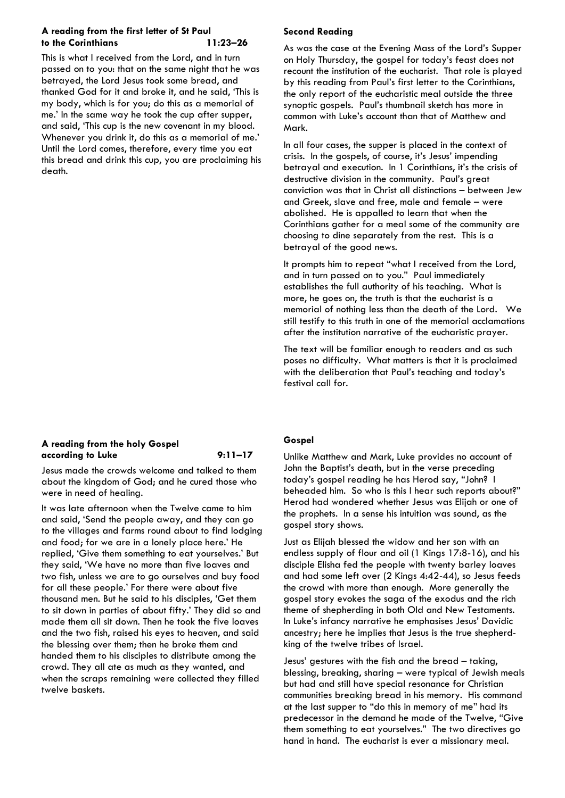#### **A reading from the first letter of St Paul to the Corinthians 11:23–26**

This is what I received from the Lord, and in turn passed on to you: that on the same night that he was betrayed, the Lord Jesus took some bread, and thanked God for it and broke it, and he said, 'This is my body, which is for you; do this as a memorial of me.' In the same way he took the cup after supper, and said, 'This cup is the new covenant in my blood. Whenever you drink it, do this as a memorial of me.' Until the Lord comes, therefore, every time you eat this bread and drink this cup, you are proclaiming his death.

#### **A reading from the holy Gospel**  according to Luke 9:11-17

Jesus made the crowds welcome and talked to them about the kingdom of God; and he cured those who were in need of healing.

It was late afternoon when the Twelve came to him and said, 'Send the people away, and they can go to the villages and farms round about to find lodging and food; for we are in a lonely place here.' He replied, 'Give them something to eat yourselves.' But they said, 'We have no more than five loaves and two fish, unless we are to go ourselves and buy food for all these people.' For there were about five thousand men. But he said to his disciples, 'Get them to sit down in parties of about fifty.' They did so and made them all sit down. Then he took the five loaves and the two fish, raised his eyes to heaven, and said the blessing over them; then he broke them and handed them to his disciples to distribute among the crowd. They all ate as much as they wanted, and when the scraps remaining were collected they filled twelve baskets.

#### **Second Reading**

As was the case at the Evening Mass of the Lord's Supper on Holy Thursday, the gospel for today's feast does not recount the institution of the eucharist. That role is played by this reading from Paul's first letter to the Corinthians, the only report of the eucharistic meal outside the three synoptic gospels. Paul's thumbnail sketch has more in common with Luke's account than that of Matthew and Mark.

In all four cases, the supper is placed in the context of crisis. In the gospels, of course, it's Jesus' impending betrayal and execution. In 1 Corinthians, it's the crisis of destructive division in the community. Paul's great conviction was that in Christ all distinctions – between Jew and Greek, slave and free, male and female – were abolished. He is appalled to learn that when the Corinthians gather for a meal some of the community are choosing to dine separately from the rest. This is a betrayal of the good news.

It prompts him to repeat "what I received from the Lord, and in turn passed on to you." Paul immediately establishes the full authority of his teaching. What is more, he goes on, the truth is that the eucharist is a memorial of nothing less than the death of the Lord. We still testify to this truth in one of the memorial acclamations after the institution narrative of the eucharistic prayer.

The text will be familiar enough to readers and as such poses no difficulty. What matters is that it is proclaimed with the deliberation that Paul's teaching and today's festival call for.

#### **Gospel**

Unlike Matthew and Mark, Luke provides no account of John the Baptist's death, but in the verse preceding today's gospel reading he has Herod say, "John? I beheaded him. So who is this I hear such reports about?" Herod had wondered whether Jesus was Elijah or one of the prophets. In a sense his intuition was sound, as the gospel story shows.

Just as Elijah blessed the widow and her son with an endless supply of flour and oil (1 Kings 17:8-16), and his disciple Elisha fed the people with twenty barley loaves and had some left over (2 Kings 4:42-44), so Jesus feeds the crowd with more than enough. More generally the gospel story evokes the saga of the exodus and the rich theme of shepherding in both Old and New Testaments. In Luke's infancy narrative he emphasises Jesus' Davidic ancestry; here he implies that Jesus is the true shepherdking of the twelve tribes of Israel.

Jesus' gestures with the fish and the bread – taking, blessing, breaking, sharing – were typical of Jewish meals but had and still have special resonance for Christian communities breaking bread in his memory. His command at the last supper to "do this in memory of me" had its predecessor in the demand he made of the Twelve, "Give them something to eat yourselves." The two directives go hand in hand. The eucharist is ever a missionary meal.